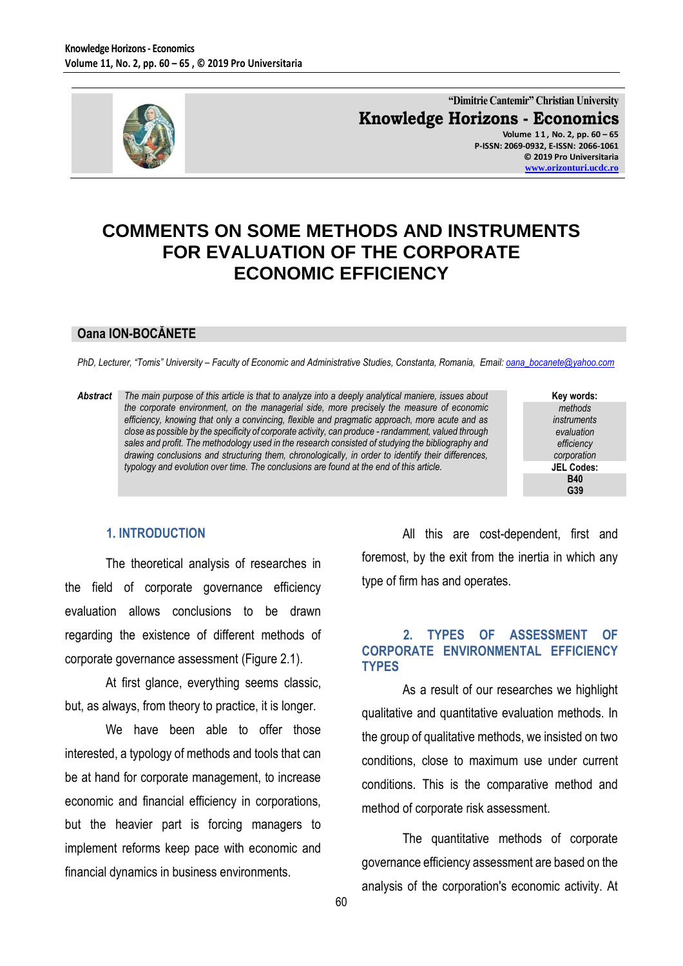

**"Dimitrie Cantemir" Christian University Knowledge Horizons - Economics Volume 1 1 , No. 2, pp. 60 – 65 P-ISSN: 2069-0932, E-ISSN: 2066-1061 © 2019 Pro Universitaria [www.orizonturi.ucdc.ro](http://www.orizonturi.ucdc.ro/)**

# **COMMENTS ON SOME METHODS AND INSTRUMENTS FOR EVALUATION OF THE CORPORATE ECONOMIC EFFICIENCY**

#### **Oana ION-BOCĂNETE**

*PhD, Lecturer, "Tomis" University – Faculty of Economic and Administrative Studies, Constanta, Romania, Email: oana\_bocanete@yahoo.com*

*Abstract The main purpose of this article is that to analyze into a deeply analytical maniere, issues about the corporate environment, on the managerial side, more precisely the measure of economic efficiency, knowing that only a convincing, flexible and pragmatic approach, more acute and as close as possible by the specificity of corporate activity, can produce - randamment, valued through sales and profit. The methodology used in the research consisted of studying the bibliography and drawing conclusions and structuring them, chronologically, in order to identify their differences, typology and evolution over time. The conclusions are found at the end of this article.*

**Key words:** *methods instruments evaluation efficiency corporation* **JEL Codes: B40 G39**

#### **1. INTRODUCTION**

The theoretical analysis of researches in the field of corporate governance efficiency evaluation allows conclusions to be drawn regarding the existence of different methods of corporate governance assessment (Figure 2.1).

At first glance, everything seems classic, but, as always, from theory to practice, it is longer.

We have been able to offer those interested, a typology of methods and tools that can be at hand for corporate management, to increase economic and financial efficiency in corporations, but the heavier part is forcing managers to implement reforms keep pace with economic and financial dynamics in business environments.

All this are cost-dependent, first and foremost, by the exit from the inertia in which any type of firm has and operates.

## **2. TYPES OF ASSESSMENT OF CORPORATE ENVIRONMENTAL EFFICIENCY TYPES**

As a result of our researches we highlight qualitative and quantitative evaluation methods. In the group of qualitative methods, we insisted on two conditions, close to maximum use under current conditions. This is the comparative method and method of corporate risk assessment.

The quantitative methods of corporate governance efficiency assessment are based on the analysis of the corporation's economic activity. At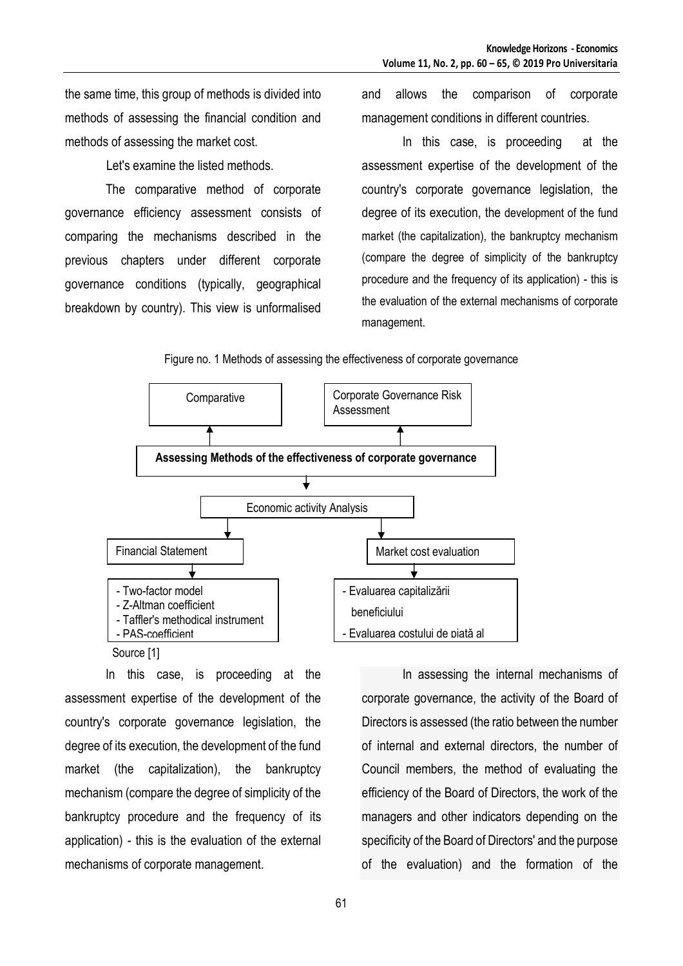the same time, this group of methods is divided into methods of assessing the financial condition and methods of assessing the market cost.

Let's examine the listed methods.

The comparative method of corporate governance efficiency assessment consists of comparing the mechanisms described in the previous chapters under different corporate governance conditions (typically, geographical breakdown by country). This view is unformalised

and allows the comparison of corporate management conditions in different countries.

In this case, is proceeding at the assessment expertise of the development of the country's corporate governance legislation, the degree of its execution, the development of the fund market (the capitalization), the bankruptcy mechanism (compare the degree of simplicity of the bankruptcy procedure and the frequency of its application) - this is the evaluation of the external mechanisms of corporate management.





In this case, is proceeding at the assessment expertise of the development of the country's corporate governance legislation, the degree of its execution, the development of the fund market (the capitalization), the bankruptcy mechanism (compare the degree of simplicity of the bankruptcy procedure and the frequency of its application) - this is the evaluation of the external mechanisms of corporate management.

In assessing the internal mechanisms of corporate governance, the activity of the Board of Directors is assessed (the ratio between the number of internal and external directors, the number of Council members, the method of evaluating the efficiency of the Board of Directors, the work of the managers and other indicators depending on the specificity of the Board of Directors' and the purpose of the evaluation) and the formation of the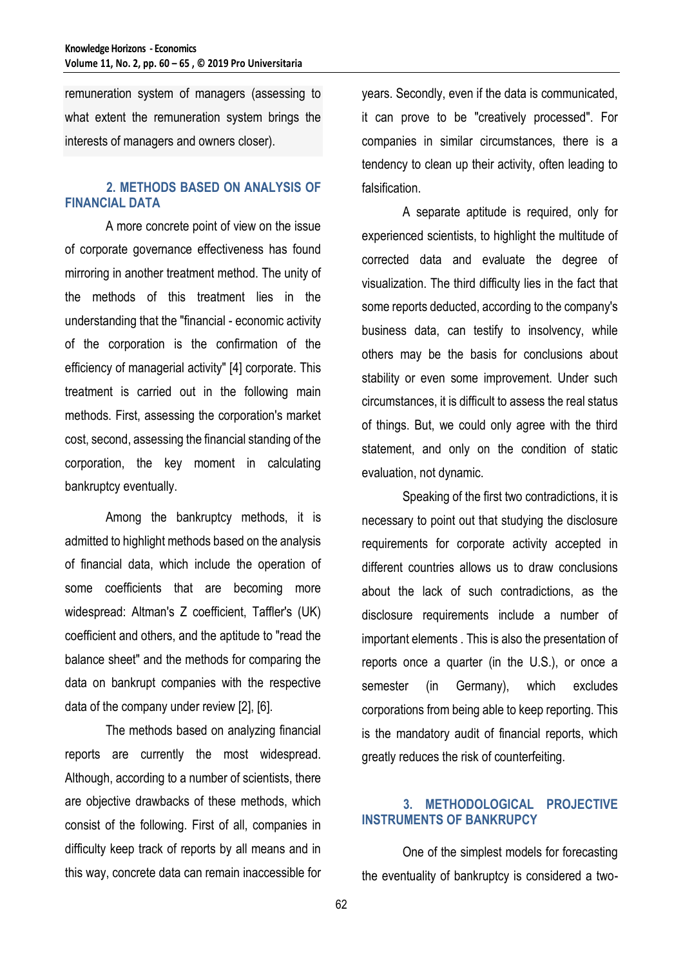remuneration system of managers (assessing to what extent the remuneration system brings the interests of managers and owners closer).

# **2. METHODS BASED ON ANALYSIS OF FINANCIAL DATA**

A more concrete point of view on the issue of corporate governance effectiveness has found mirroring in another treatment method. The unity of the methods of this treatment lies in the understanding that the "financial - economic activity of the corporation is the confirmation of the efficiency of managerial activity" [4] corporate. This treatment is carried out in the following main methods. First, assessing the corporation's market cost, second, assessing the financial standing of the corporation, the key moment in calculating bankruptcy eventually.

Among the bankruptcy methods, it is admitted to highlight methods based on the analysis of financial data, which include the operation of some coefficients that are becoming more widespread: Altman's Z coefficient, Taffler's (UK) coefficient and others, and the aptitude to "read the balance sheet" and the methods for comparing the data on bankrupt companies with the respective data of the company under review [2], [6].

The methods based on analyzing financial reports are currently the most widespread. Although, according to a number of scientists, there are objective drawbacks of these methods, which consist of the following. First of all, companies in difficulty keep track of reports by all means and in this way, concrete data can remain inaccessible for

years. Secondly, even if the data is communicated, it can prove to be "creatively processed". For companies in similar circumstances, there is a tendency to clean up their activity, often leading to falsification.

A separate aptitude is required, only for experienced scientists, to highlight the multitude of corrected data and evaluate the degree of visualization. The third difficulty lies in the fact that some reports deducted, according to the company's business data, can testify to insolvency, while others may be the basis for conclusions about stability or even some improvement. Under such circumstances, it is difficult to assess the real status of things. But, we could only agree with the third statement, and only on the condition of static evaluation, not dynamic.

Speaking of the first two contradictions, it is necessary to point out that studying the disclosure requirements for corporate activity accepted in different countries allows us to draw conclusions about the lack of such contradictions, as the disclosure requirements include a number of important elements . This is also the presentation of reports once a quarter (in the U.S.), or once a semester (in Germany), which excludes corporations from being able to keep reporting. This is the mandatory audit of financial reports, which greatly reduces the risk of counterfeiting.

# **3. METHODOLOGICAL PROJECTIVE INSTRUMENTS OF BANKRUPCY**

One of the simplest models for forecasting the eventuality of bankruptcy is considered a two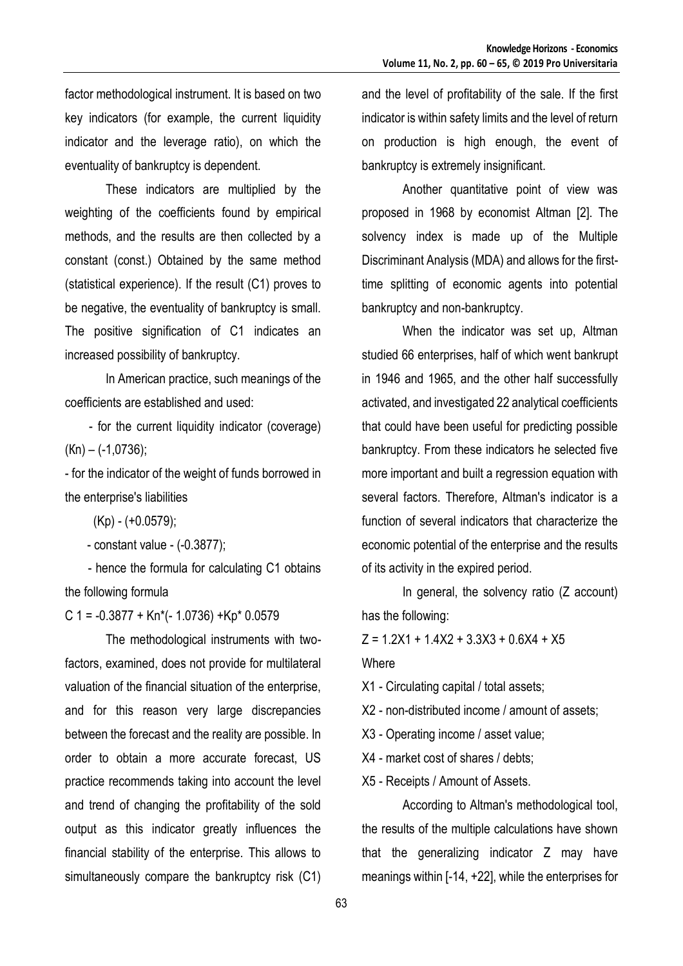factor methodological instrument. It is based on two key indicators (for example, the current liquidity indicator and the leverage ratio), on which the eventuality of bankruptcy is dependent.

These indicators are multiplied by the weighting of the coefficients found by empirical methods, and the results are then collected by a constant (const.) Obtained by the same method (statistical experience). If the result (C1) proves to be negative, the eventuality of bankruptcy is small. The positive signification of C1 indicates an increased possibility of bankruptcy.

In American practice, such meanings of the coefficients are established and used:

 - for the current liquidity indicator (coverage)  $(Kn) - (-1,0736);$ 

- for the indicator of the weight of funds borrowed in the enterprise's liabilities

(Kp) - (+0.0579);

- constant value - (-0.3877);

 - hence the formula for calculating C1 obtains the following formula

C 1 =  $-0.3877 + Kn*(-1.0736) + Kp* 0.0579$ 

The methodological instruments with twofactors, examined, does not provide for multilateral valuation of the financial situation of the enterprise, and for this reason very large discrepancies between the forecast and the reality are possible. In order to obtain a more accurate forecast, US practice recommends taking into account the level and trend of changing the profitability of the sold output as this indicator greatly influences the financial stability of the enterprise. This allows to simultaneously compare the bankruptcy risk (C1)

and the level of profitability of the sale. If the first indicator is within safety limits and the level of return on production is high enough, the event of bankruptcy is extremely insignificant.

Another quantitative point of view was proposed in 1968 by economist Altman [2]. The solvency index is made up of the Multiple Discriminant Analysis (MDA) and allows for the firsttime splitting of economic agents into potential bankruptcy and non-bankruptcy.

When the indicator was set up, Altman studied 66 enterprises, half of which went bankrupt in 1946 and 1965, and the other half successfully activated, and investigated 22 analytical coefficients that could have been useful for predicting possible bankruptcy. From these indicators he selected five more important and built a regression equation with several factors. Therefore, Altman's indicator is a function of several indicators that characterize the economic potential of the enterprise and the results of its activity in the expired period.

In general, the solvency ratio (Z account) has the following:

 $Z = 1.2X1 + 1.4X2 + 3.3X3 + 0.6X4 + X5$ 

Where

X1 - Circulating capital / total assets;

X2 - non-distributed income / amount of assets;

X3 - Operating income / asset value;

X4 - market cost of shares / debts;

X5 - Receipts / Amount of Assets.

According to Altman's methodological tool, the results of the multiple calculations have shown that the generalizing indicator Z may have meanings within [-14, +22], while the enterprises for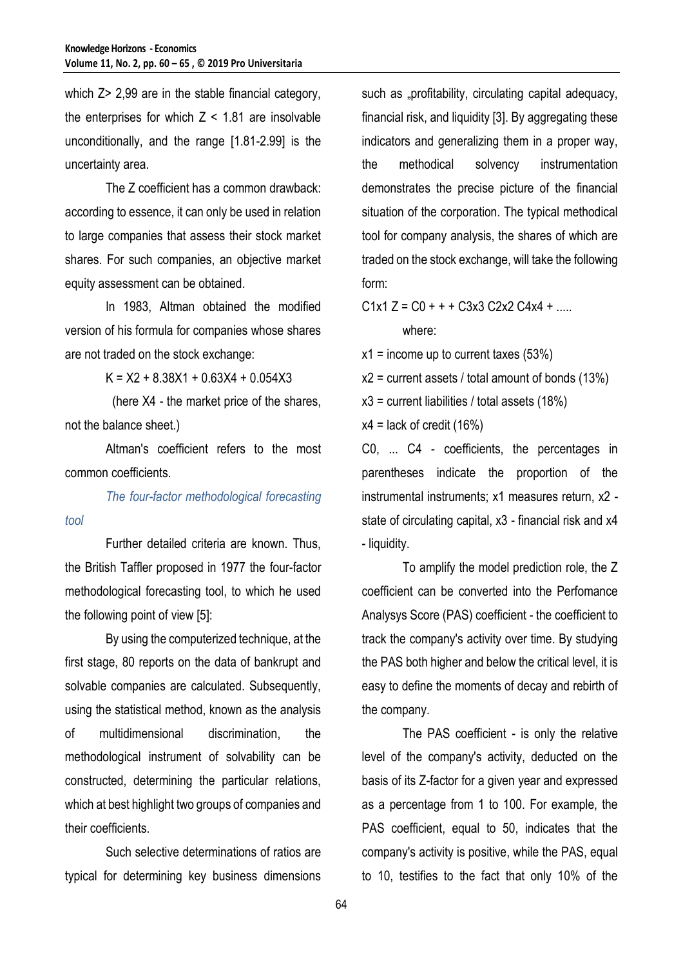which  $Z > 2.99$  are in the stable financial category, the enterprises for which  $Z < 1.81$  are insolvable unconditionally, and the range [1.81-2.99] is the uncertainty area.

The Z coefficient has a common drawback: according to essence, it can only be used in relation to large companies that assess their stock market shares. For such companies, an objective market equity assessment can be obtained.

In 1983, Altman obtained the modified version of his formula for companies whose shares are not traded on the stock exchange:

 $K = X2 + 8.38X1 + 0.63X4 + 0.054X3$ 

(here X4 - the market price of the shares, not the balance sheet.)

Altman's coefficient refers to the most common coefficients.

*tool*

*The four-factor methodological forecasting* 

Further detailed criteria are known. Thus, the British Taffler proposed in 1977 the four-factor methodological forecasting tool, to which he used the following point of view [5]:

By using the computerized technique, at the first stage, 80 reports on the data of bankrupt and solvable companies are calculated. Subsequently, using the statistical method, known as the analysis of multidimensional discrimination, the methodological instrument of solvability can be constructed, determining the particular relations, which at best highlight two groups of companies and their coefficients.

Such selective determinations of ratios are typical for determining key business dimensions

such as "profitability, circulating capital adequacy, financial risk, and liquidity [3]. By aggregating these indicators and generalizing them in a proper way, the methodical solvency instrumentation demonstrates the precise picture of the financial situation of the corporation. The typical methodical tool for company analysis, the shares of which are traded on the stock exchange, will take the following form:

 $C1x1 Z = C0 + + + C3x3 C2x2 C4x4 + ...$ where:

 $x1 =$  income up to current taxes (53%)

 $x2$  = current assets / total amount of bonds (13%)

 $x3$  = current liabilities / total assets (18%)

 $x4$  = lack of credit (16%)

С0, ... C4 - coefficients, the percentages in parentheses indicate the proportion of the instrumental instruments; x1 measures return, x2 state of circulating capital, x3 - financial risk and x4 - liquidity.

To amplify the model prediction role, the Z coefficient can be converted into the Perfomance Analysys Score (PAS) coefficient - the coefficient to track the company's activity over time. By studying the PAS both higher and below the critical level, it is easy to define the moments of decay and rebirth of the company.

The PAS coefficient - is only the relative level of the company's activity, deducted on the basis of its Z-factor for a given year and expressed as a percentage from 1 to 100. For example, the PAS coefficient, equal to 50, indicates that the company's activity is positive, while the PAS, equal to 10, testifies to the fact that only 10% of the